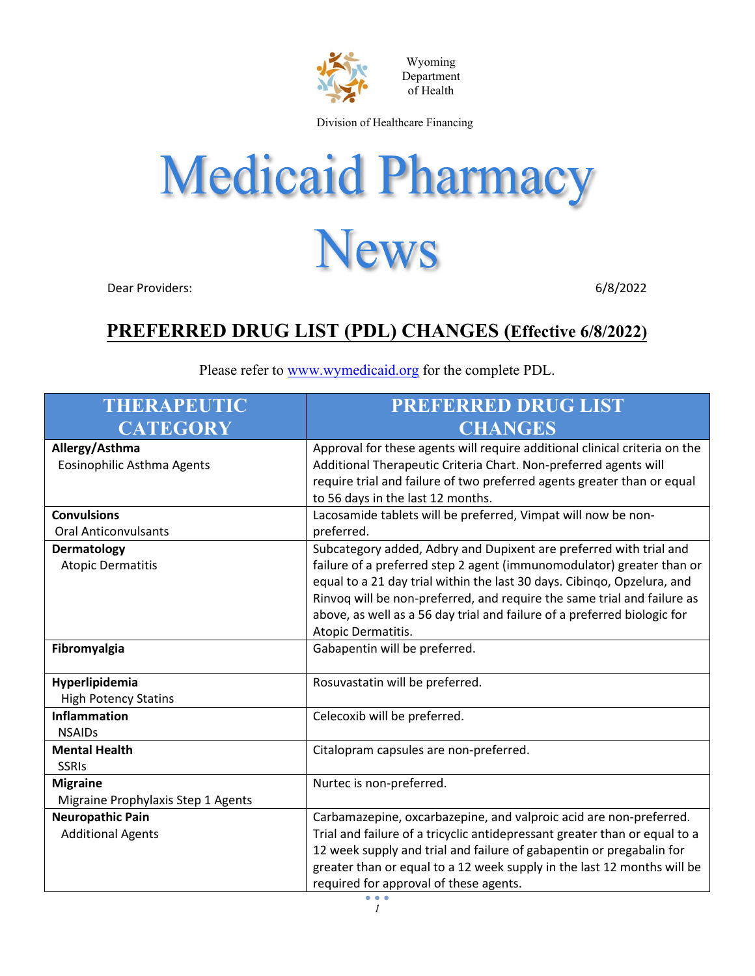

Wyoming Department of Health

Division of Healthcare Financing

## **Medicaid Pharmacy News**

Dear Providers: 6/8/2022

## **PREFERRED DRUG LIST (PDL) CHANGES (Effective 6/8/2022)**

| <b>THERAPEUTIC</b><br><b>CATEGORY</b>                 | <b>PREFERRED DRUG LIST</b><br><b>CHANGES</b>                                                                                                                                                                                                                                                                                                                                                        |
|-------------------------------------------------------|-----------------------------------------------------------------------------------------------------------------------------------------------------------------------------------------------------------------------------------------------------------------------------------------------------------------------------------------------------------------------------------------------------|
| Allergy/Asthma<br>Eosinophilic Asthma Agents          | Approval for these agents will require additional clinical criteria on the<br>Additional Therapeutic Criteria Chart. Non-preferred agents will<br>require trial and failure of two preferred agents greater than or equal<br>to 56 days in the last 12 months.                                                                                                                                      |
| <b>Convulsions</b><br><b>Oral Anticonvulsants</b>     | Lacosamide tablets will be preferred, Vimpat will now be non-<br>preferred.                                                                                                                                                                                                                                                                                                                         |
| Dermatology<br><b>Atopic Dermatitis</b>               | Subcategory added, Adbry and Dupixent are preferred with trial and<br>failure of a preferred step 2 agent (immunomodulator) greater than or<br>equal to a 21 day trial within the last 30 days. Cibingo, Opzelura, and<br>Rinvoq will be non-preferred, and require the same trial and failure as<br>above, as well as a 56 day trial and failure of a preferred biologic for<br>Atopic Dermatitis. |
| Fibromyalgia                                          | Gabapentin will be preferred.                                                                                                                                                                                                                                                                                                                                                                       |
| Hyperlipidemia<br><b>High Potency Statins</b>         | Rosuvastatin will be preferred.                                                                                                                                                                                                                                                                                                                                                                     |
| <b>Inflammation</b><br><b>NSAIDs</b>                  | Celecoxib will be preferred.                                                                                                                                                                                                                                                                                                                                                                        |
| <b>Mental Health</b><br><b>SSRIs</b>                  | Citalopram capsules are non-preferred.                                                                                                                                                                                                                                                                                                                                                              |
| <b>Migraine</b><br>Migraine Prophylaxis Step 1 Agents | Nurtec is non-preferred.                                                                                                                                                                                                                                                                                                                                                                            |
| <b>Neuropathic Pain</b><br><b>Additional Agents</b>   | Carbamazepine, oxcarbazepine, and valproic acid are non-preferred.<br>Trial and failure of a tricyclic antidepressant greater than or equal to a<br>12 week supply and trial and failure of gabapentin or pregabalin for<br>greater than or equal to a 12 week supply in the last 12 months will be<br>required for approval of these agents.                                                       |

Please refer to [www.wymedicaid.org](http://www.wymedicaid.org/) for the complete PDL.